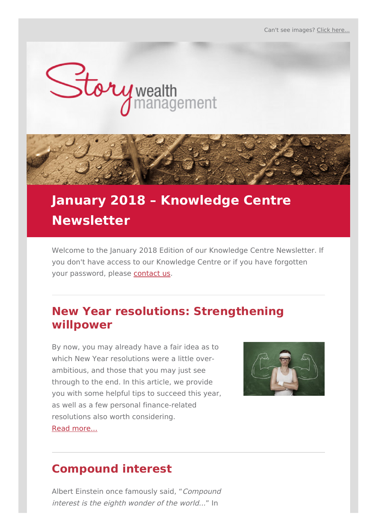

# **January 2018 – Knowledge Centre Newsletter**

Welcome to the January 2018 Edition of our Knowledge Centre Newsletter. If you don't have access to our Knowledge Centre or if you have forgotten your password, please [contact](http://www.storywealth.com.au/contact) us.

## **New Year resolutions: Strengthening willpower**

By now, you may already have a fair idea as to which New Year resolutions were a little overambitious, and those that you may just see through to the end. In this article, we provide you with some helpful tips to succeed this year, as well as a few personal finance-related resolutions also worth considering. Read [more...](http://www.storywealth.financialknowledgecentre.com.au/kcarticles.php?id=1588)



## **Compound interest**

Albert Einstein once famously said, "Compound interest is the eighth wonder of the world..." In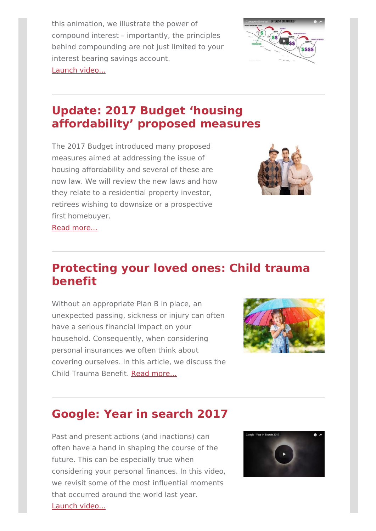this animation, we illustrate the power of compound interest – importantly, the principles behind compounding are not just limited to your interest bearing savings account. Launch [video...](http://www.storywealth.financialknowledgecentre.com.au/kcvideos.php?id=847)



# **Update: 2017 Budget 'housing affordability' proposed measures**

The 2017 Budget introduced many proposed measures aimed at addressing the issue of housing affordability and several of these are now law. We will review the new laws and how they relate to a residential property investor, retirees wishing to downsize or a prospective first homebuyer.



Read [more...](http://www.storywealth.financialknowledgecentre.com.au/kcarticles.php?id=1589)

## **Protecting your loved ones: Child trauma benefit**

Without an appropriate Plan B in place, an unexpected passing, sickness or injury can often have a serious financial impact on your household. Consequently, when considering personal insurances we often think about covering ourselves. In this article, we discuss the Child Trauma Benefit. Read [more...](http://www.storywealth.financialknowledgecentre.com.au/kcarticles.php?id=1590)



# **Google: Year in search 2017**

Past and present actions (and inactions) can often have a hand in shaping the course of the future. This can be especially true when considering your personal finances. In this video, we revisit some of the most influential moments that occurred around the world last year. Launch [video...](http://www.storywealth.financialknowledgecentre.com.au/kcvideos.php?id=848)